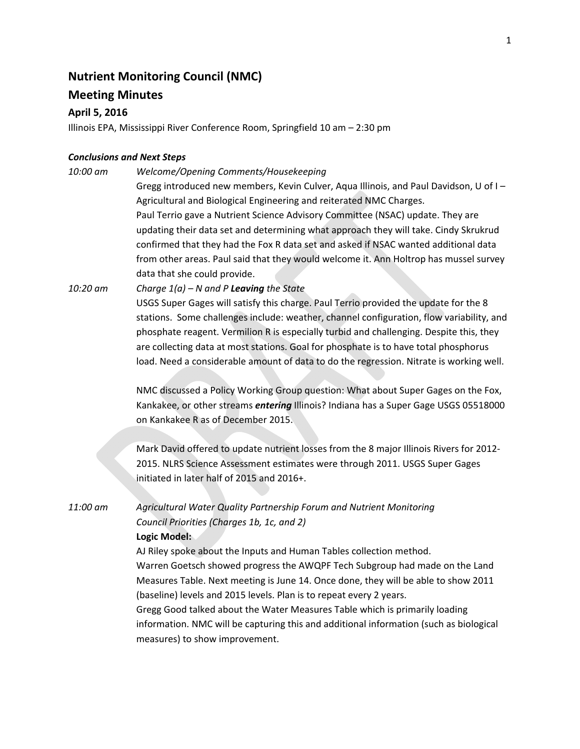# **Nutrient Monitoring Council (NMC)**

## **Meeting Minutes**

## **April 5, 2016**

Illinois EPA, Mississippi River Conference Room, Springfield 10 am – 2:30 pm

### *Conclusions and Next Steps*

*10:00 am Welcome/Opening Comments/Housekeeping*  Gregg introduced new members, Kevin Culver, Aqua Illinois, and Paul Davidson, U of I – Agricultural and Biological Engineering and reiterated NMC Charges. Paul Terrio gave a Nutrient Science Advisory Committee (NSAC) update. They are updating their data set and determining what approach they will take. Cindy Skrukrud confirmed that they had the Fox R data set and asked if NSAC wanted additional data from other areas. Paul said that they would welcome it. Ann Holtrop has mussel survey data that she could provide. *10:20 am Charge 1(a) – N and P Leaving the State*

USGS Super Gages will satisfy this charge. Paul Terrio provided the update for the 8 stations. Some challenges include: weather, channel configuration, flow variability, and phosphate reagent. Vermilion R is especially turbid and challenging. Despite this, they are collecting data at most stations. Goal for phosphate is to have total phosphorus load. Need a considerable amount of data to do the regression. Nitrate is working well.

NMC discussed a Policy Working Group question: What about Super Gages on the Fox, Kankakee, or other streams *entering* Illinois? Indiana has a Super Gage USGS 05518000 on Kankakee R as of December 2015.

Mark David offered to update nutrient losses from the 8 major Illinois Rivers for 2012‐ 2015. NLRS Science Assessment estimates were through 2011. USGS Super Gages initiated in later half of 2015 and 2016+.

*11:00 am Agricultural Water Quality Partnership Forum and Nutrient Monitoring Council Priorities (Charges 1b, 1c, and 2)* **Logic Model:** 

> AJ Riley spoke about the Inputs and Human Tables collection method. Warren Goetsch showed progress the AWQPF Tech Subgroup had made on the Land Measures Table. Next meeting is June 14. Once done, they will be able to show 2011 (baseline) levels and 2015 levels. Plan is to repeat every 2 years. Gregg Good talked about the Water Measures Table which is primarily loading

> information. NMC will be capturing this and additional information (such as biological measures) to show improvement.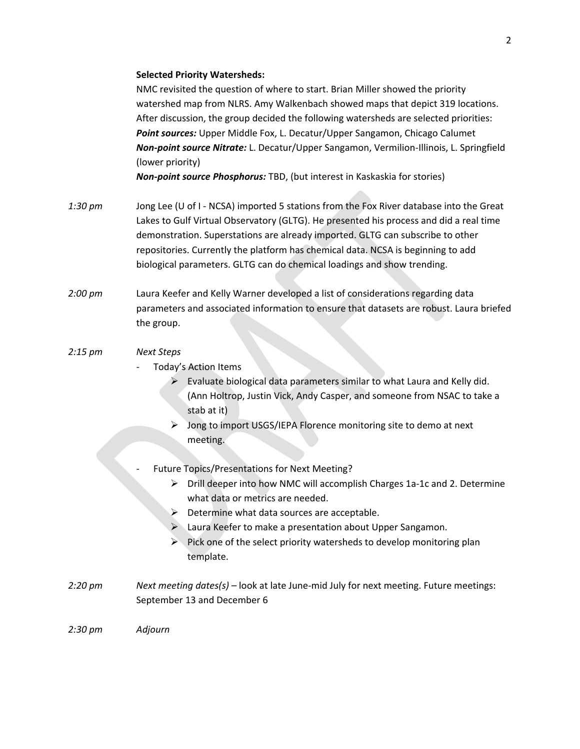### **Selected Priority Watersheds:**

NMC revisited the question of where to start. Brian Miller showed the priority watershed map from NLRS. Amy Walkenbach showed maps that depict 319 locations. After discussion, the group decided the following watersheds are selected priorities: *Point sources:* Upper Middle Fox, L. Decatur/Upper Sangamon, Chicago Calumet *Non‐point source Nitrate:* L. Decatur/Upper Sangamon, Vermilion‐Illinois, L. Springfield (lower priority)

*Non‐point source Phosphorus:* TBD, (but interest in Kaskaskia for stories)

- *1:30 pm* Jong Lee (U of I NCSA) imported 5 stations from the Fox River database into the Great Lakes to Gulf Virtual Observatory (GLTG). He presented his process and did a real time demonstration. Superstations are already imported. GLTG can subscribe to other repositories. Currently the platform has chemical data. NCSA is beginning to add biological parameters. GLTG can do chemical loadings and show trending.
- *2:00 pm* Laura Keefer and Kelly Warner developed a list of considerations regarding data parameters and associated information to ensure that datasets are robust. Laura briefed the group.

## *2:15 pm Next Steps*

- ‐ Today's Action Items
	- $\triangleright$  Evaluate biological data parameters similar to what Laura and Kelly did. (Ann Holtrop, Justin Vick, Andy Casper, and someone from NSAC to take a stab at it)
	- $\triangleright$  Jong to import USGS/IEPA Florence monitoring site to demo at next meeting.
- ‐ Future Topics/Presentations for Next Meeting?
	- Drill deeper into how NMC will accomplish Charges 1a‐1c and 2. Determine what data or metrics are needed.
	- $\triangleright$  Determine what data sources are acceptable.
	- Laura Keefer to make a presentation about Upper Sangamon.
	- $\triangleright$  Pick one of the select priority watersheds to develop monitoring plan template.
- *2:20 pm Next meeting dates(s) –* look at late June‐mid July for next meeting. Future meetings: September 13 and December 6

*2:30 pm Adjourn*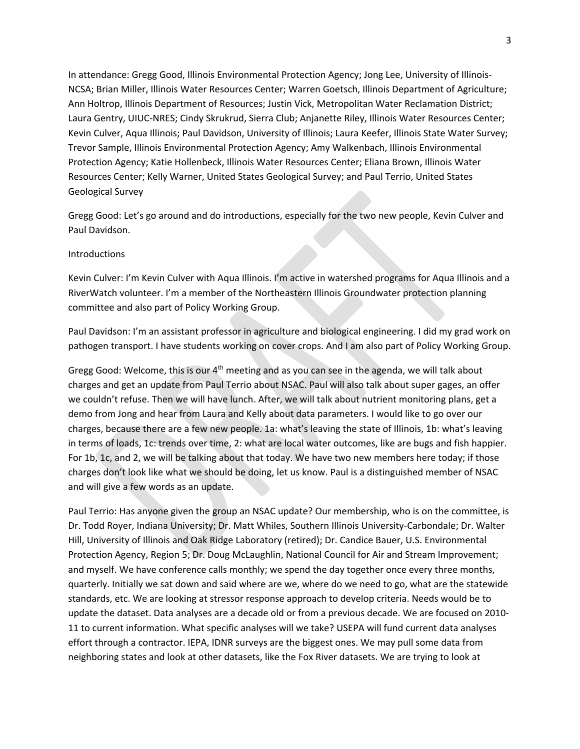In attendance: Gregg Good, Illinois Environmental Protection Agency; Jong Lee, University of Illinois‐ NCSA; Brian Miller, Illinois Water Resources Center; Warren Goetsch, Illinois Department of Agriculture; Ann Holtrop, Illinois Department of Resources; Justin Vick, Metropolitan Water Reclamation District; Laura Gentry, UIUC‐NRES; Cindy Skrukrud, Sierra Club; Anjanette Riley, Illinois Water Resources Center; Kevin Culver, Aqua Illinois; Paul Davidson, University of Illinois; Laura Keefer, Illinois State Water Survey; Trevor Sample, Illinois Environmental Protection Agency; Amy Walkenbach, Illinois Environmental Protection Agency; Katie Hollenbeck, Illinois Water Resources Center; Eliana Brown, Illinois Water Resources Center; Kelly Warner, United States Geological Survey; and Paul Terrio, United States Geological Survey

Gregg Good: Let's go around and do introductions, especially for the two new people, Kevin Culver and Paul Davidson.

#### Introductions

Kevin Culver: I'm Kevin Culver with Aqua Illinois. I'm active in watershed programs for Aqua Illinois and a RiverWatch volunteer. I'm a member of the Northeastern Illinois Groundwater protection planning committee and also part of Policy Working Group.

Paul Davidson: I'm an assistant professor in agriculture and biological engineering. I did my grad work on pathogen transport. I have students working on cover crops. And I am also part of Policy Working Group.

Gregg Good: Welcome, this is our 4<sup>th</sup> meeting and as you can see in the agenda, we will talk about charges and get an update from Paul Terrio about NSAC. Paul will also talk about super gages, an offer we couldn't refuse. Then we will have lunch. After, we will talk about nutrient monitoring plans, get a demo from Jong and hear from Laura and Kelly about data parameters. I would like to go over our charges, because there are a few new people. 1a: what's leaving the state of Illinois, 1b: what's leaving in terms of loads, 1c: trends over time, 2: what are local water outcomes, like are bugs and fish happier. For 1b, 1c, and 2, we will be talking about that today. We have two new members here today; if those charges don't look like what we should be doing, let us know. Paul is a distinguished member of NSAC and will give a few words as an update.

Paul Terrio: Has anyone given the group an NSAC update? Our membership, who is on the committee, is Dr. Todd Royer, Indiana University; Dr. Matt Whiles, Southern Illinois University‐Carbondale; Dr. Walter Hill, University of Illinois and Oak Ridge Laboratory (retired); Dr. Candice Bauer, U.S. Environmental Protection Agency, Region 5; Dr. Doug McLaughlin, National Council for Air and Stream Improvement; and myself. We have conference calls monthly; we spend the day together once every three months, quarterly. Initially we sat down and said where are we, where do we need to go, what are the statewide standards, etc. We are looking at stressor response approach to develop criteria. Needs would be to update the dataset. Data analyses are a decade old or from a previous decade. We are focused on 2010‐ 11 to current information. What specific analyses will we take? USEPA will fund current data analyses effort through a contractor. IEPA, IDNR surveys are the biggest ones. We may pull some data from neighboring states and look at other datasets, like the Fox River datasets. We are trying to look at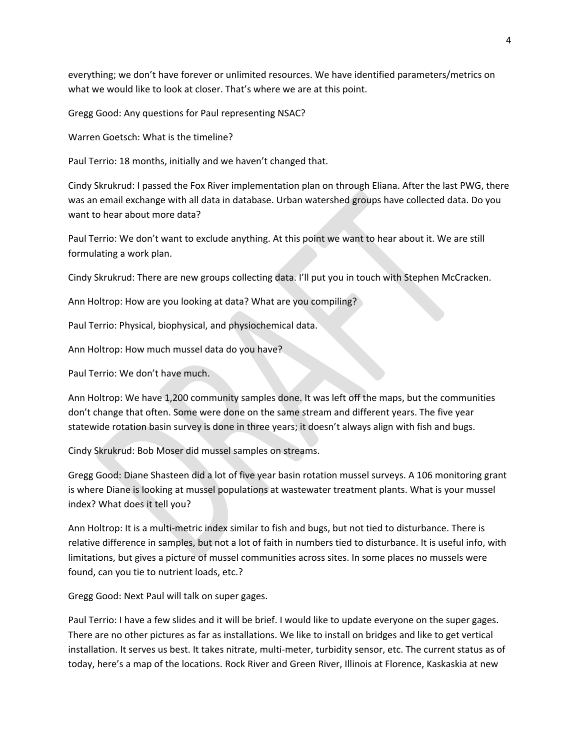everything; we don't have forever or unlimited resources. We have identified parameters/metrics on what we would like to look at closer. That's where we are at this point.

Gregg Good: Any questions for Paul representing NSAC?

Warren Goetsch: What is the timeline?

Paul Terrio: 18 months, initially and we haven't changed that.

Cindy Skrukrud: I passed the Fox River implementation plan on through Eliana. After the last PWG, there was an email exchange with all data in database. Urban watershed groups have collected data. Do you want to hear about more data?

Paul Terrio: We don't want to exclude anything. At this point we want to hear about it. We are still formulating a work plan.

Cindy Skrukrud: There are new groups collecting data. I'll put you in touch with Stephen McCracken.

Ann Holtrop: How are you looking at data? What are you compiling?

Paul Terrio: Physical, biophysical, and physiochemical data.

Ann Holtrop: How much mussel data do you have?

Paul Terrio: We don't have much.

Ann Holtrop: We have 1,200 community samples done. It was left off the maps, but the communities don't change that often. Some were done on the same stream and different years. The five year statewide rotation basin survey is done in three years; it doesn't always align with fish and bugs.

Cindy Skrukrud: Bob Moser did mussel samples on streams.

Gregg Good: Diane Shasteen did a lot of five year basin rotation mussel surveys. A 106 monitoring grant is where Diane is looking at mussel populations at wastewater treatment plants. What is your mussel index? What does it tell you?

Ann Holtrop: It is a multi‐metric index similar to fish and bugs, but not tied to disturbance. There is relative difference in samples, but not a lot of faith in numbers tied to disturbance. It is useful info, with limitations, but gives a picture of mussel communities across sites. In some places no mussels were found, can you tie to nutrient loads, etc.?

Gregg Good: Next Paul will talk on super gages.

Paul Terrio: I have a few slides and it will be brief. I would like to update everyone on the super gages. There are no other pictures as far as installations. We like to install on bridges and like to get vertical installation. It serves us best. It takes nitrate, multi-meter, turbidity sensor, etc. The current status as of today, here's a map of the locations. Rock River and Green River, Illinois at Florence, Kaskaskia at new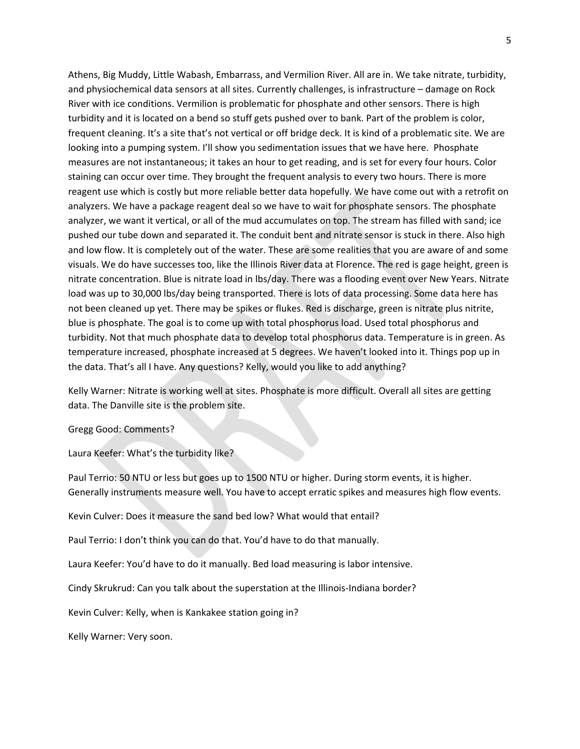Athens, Big Muddy, Little Wabash, Embarrass, and Vermilion River. All are in. We take nitrate, turbidity, and physiochemical data sensors at all sites. Currently challenges, is infrastructure – damage on Rock River with ice conditions. Vermilion is problematic for phosphate and other sensors. There is high turbidity and it is located on a bend so stuff gets pushed over to bank. Part of the problem is color, frequent cleaning. It's a site that's not vertical or off bridge deck. It is kind of a problematic site. We are looking into a pumping system. I'll show you sedimentation issues that we have here. Phosphate measures are not instantaneous; it takes an hour to get reading, and is set for every four hours. Color staining can occur over time. They brought the frequent analysis to every two hours. There is more reagent use which is costly but more reliable better data hopefully. We have come out with a retrofit on analyzers. We have a package reagent deal so we have to wait for phosphate sensors. The phosphate analyzer, we want it vertical, or all of the mud accumulates on top. The stream has filled with sand; ice pushed our tube down and separated it. The conduit bent and nitrate sensor is stuck in there. Also high and low flow. It is completely out of the water. These are some realities that you are aware of and some visuals. We do have successes too, like the Illinois River data at Florence. The red is gage height, green is nitrate concentration. Blue is nitrate load in lbs/day. There was a flooding event over New Years. Nitrate load was up to 30,000 lbs/day being transported. There is lots of data processing. Some data here has not been cleaned up yet. There may be spikes or flukes. Red is discharge, green is nitrate plus nitrite, blue is phosphate. The goal is to come up with total phosphorus load. Used total phosphorus and turbidity. Not that much phosphate data to develop total phosphorus data. Temperature is in green. As temperature increased, phosphate increased at 5 degrees. We haven't looked into it. Things pop up in the data. That's all I have. Any questions? Kelly, would you like to add anything?

Kelly Warner: Nitrate is working well at sites. Phosphate is more difficult. Overall all sites are getting data. The Danville site is the problem site.

#### Gregg Good: Comments?

Laura Keefer: What's the turbidity like?

Paul Terrio: 50 NTU or less but goes up to 1500 NTU or higher. During storm events, it is higher. Generally instruments measure well. You have to accept erratic spikes and measures high flow events.

Kevin Culver: Does it measure the sand bed low? What would that entail?

Paul Terrio: I don't think you can do that. You'd have to do that manually.

Laura Keefer: You'd have to do it manually. Bed load measuring is labor intensive.

Cindy Skrukrud: Can you talk about the superstation at the Illinois-Indiana border?

Kevin Culver: Kelly, when is Kankakee station going in?

Kelly Warner: Very soon.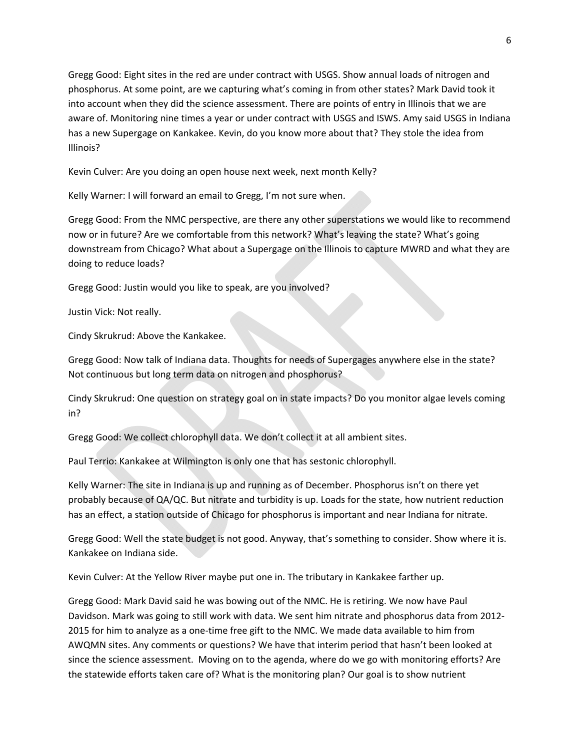Gregg Good: Eight sites in the red are under contract with USGS. Show annual loads of nitrogen and phosphorus. At some point, are we capturing what's coming in from other states? Mark David took it into account when they did the science assessment. There are points of entry in Illinois that we are aware of. Monitoring nine times a year or under contract with USGS and ISWS. Amy said USGS in Indiana has a new Supergage on Kankakee. Kevin, do you know more about that? They stole the idea from Illinois?

Kevin Culver: Are you doing an open house next week, next month Kelly?

Kelly Warner: I will forward an email to Gregg, I'm not sure when.

Gregg Good: From the NMC perspective, are there any other superstations we would like to recommend now or in future? Are we comfortable from this network? What's leaving the state? What's going downstream from Chicago? What about a Supergage on the Illinois to capture MWRD and what they are doing to reduce loads?

Gregg Good: Justin would you like to speak, are you involved?

Justin Vick: Not really.

Cindy Skrukrud: Above the Kankakee.

Gregg Good: Now talk of Indiana data. Thoughts for needs of Supergages anywhere else in the state? Not continuous but long term data on nitrogen and phosphorus?

Cindy Skrukrud: One question on strategy goal on in state impacts? Do you monitor algae levels coming in?

Gregg Good: We collect chlorophyll data. We don't collect it at all ambient sites.

Paul Terrio: Kankakee at Wilmington is only one that has sestonic chlorophyll.

Kelly Warner: The site in Indiana is up and running as of December. Phosphorus isn't on there yet probably because of QA/QC. But nitrate and turbidity is up. Loads for the state, how nutrient reduction has an effect, a station outside of Chicago for phosphorus is important and near Indiana for nitrate.

Gregg Good: Well the state budget is not good. Anyway, that's something to consider. Show where it is. Kankakee on Indiana side.

Kevin Culver: At the Yellow River maybe put one in. The tributary in Kankakee farther up.

Gregg Good: Mark David said he was bowing out of the NMC. He is retiring. We now have Paul Davidson. Mark was going to still work with data. We sent him nitrate and phosphorus data from 2012‐ 2015 for him to analyze as a one-time free gift to the NMC. We made data available to him from AWQMN sites. Any comments or questions? We have that interim period that hasn't been looked at since the science assessment. Moving on to the agenda, where do we go with monitoring efforts? Are the statewide efforts taken care of? What is the monitoring plan? Our goal is to show nutrient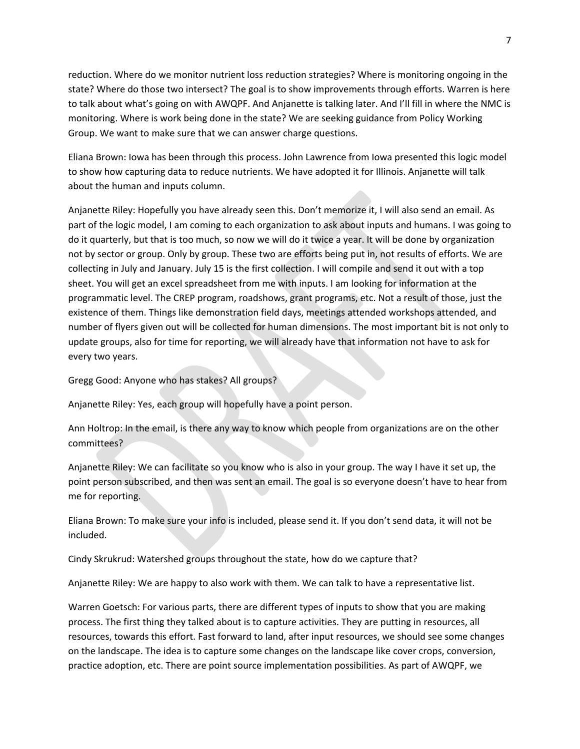reduction. Where do we monitor nutrient loss reduction strategies? Where is monitoring ongoing in the state? Where do those two intersect? The goal is to show improvements through efforts. Warren is here to talk about what's going on with AWQPF. And Anjanette is talking later. And I'll fill in where the NMC is monitoring. Where is work being done in the state? We are seeking guidance from Policy Working Group. We want to make sure that we can answer charge questions.

Eliana Brown: Iowa has been through this process. John Lawrence from Iowa presented this logic model to show how capturing data to reduce nutrients. We have adopted it for Illinois. Anjanette will talk about the human and inputs column.

Anjanette Riley: Hopefully you have already seen this. Don't memorize it, I will also send an email. As part of the logic model, I am coming to each organization to ask about inputs and humans. I was going to do it quarterly, but that is too much, so now we will do it twice a year. It will be done by organization not by sector or group. Only by group. These two are efforts being put in, not results of efforts. We are collecting in July and January. July 15 is the first collection. I will compile and send it out with a top sheet. You will get an excel spreadsheet from me with inputs. I am looking for information at the programmatic level. The CREP program, roadshows, grant programs, etc. Not a result of those, just the existence of them. Things like demonstration field days, meetings attended workshops attended, and number of flyers given out will be collected for human dimensions. The most important bit is not only to update groups, also for time for reporting, we will already have that information not have to ask for every two years.

Gregg Good: Anyone who has stakes? All groups?

Anjanette Riley: Yes, each group will hopefully have a point person.

Ann Holtrop: In the email, is there any way to know which people from organizations are on the other committees?

Anjanette Riley: We can facilitate so you know who is also in your group. The way I have it set up, the point person subscribed, and then was sent an email. The goal is so everyone doesn't have to hear from me for reporting.

Eliana Brown: To make sure your info is included, please send it. If you don't send data, it will not be included.

Cindy Skrukrud: Watershed groups throughout the state, how do we capture that?

Anjanette Riley: We are happy to also work with them. We can talk to have a representative list.

Warren Goetsch: For various parts, there are different types of inputs to show that you are making process. The first thing they talked about is to capture activities. They are putting in resources, all resources, towards this effort. Fast forward to land, after input resources, we should see some changes on the landscape. The idea is to capture some changes on the landscape like cover crops, conversion, practice adoption, etc. There are point source implementation possibilities. As part of AWQPF, we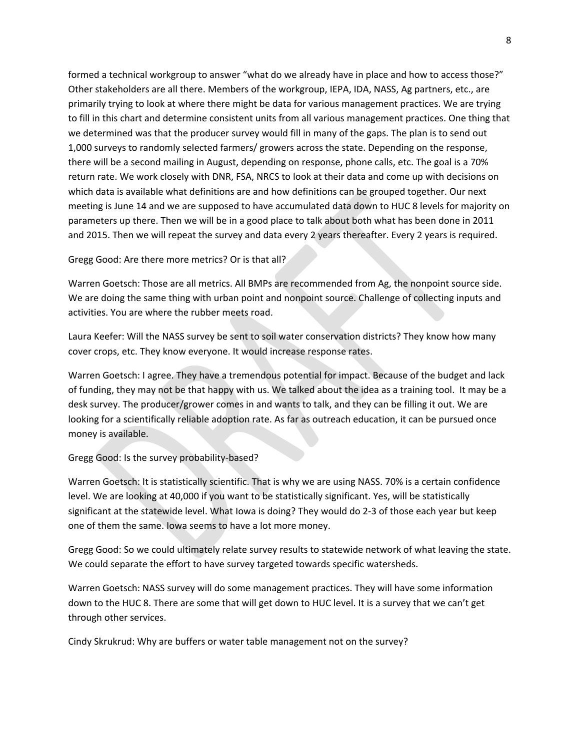formed a technical workgroup to answer "what do we already have in place and how to access those?" Other stakeholders are all there. Members of the workgroup, IEPA, IDA, NASS, Ag partners, etc., are primarily trying to look at where there might be data for various management practices. We are trying to fill in this chart and determine consistent units from all various management practices. One thing that we determined was that the producer survey would fill in many of the gaps. The plan is to send out 1,000 surveys to randomly selected farmers/ growers across the state. Depending on the response, there will be a second mailing in August, depending on response, phone calls, etc. The goal is a 70% return rate. We work closely with DNR, FSA, NRCS to look at their data and come up with decisions on which data is available what definitions are and how definitions can be grouped together. Our next meeting is June 14 and we are supposed to have accumulated data down to HUC 8 levels for majority on parameters up there. Then we will be in a good place to talk about both what has been done in 2011 and 2015. Then we will repeat the survey and data every 2 years thereafter. Every 2 years is required.

Gregg Good: Are there more metrics? Or is that all?

Warren Goetsch: Those are all metrics. All BMPs are recommended from Ag, the nonpoint source side. We are doing the same thing with urban point and nonpoint source. Challenge of collecting inputs and activities. You are where the rubber meets road.

Laura Keefer: Will the NASS survey be sent to soil water conservation districts? They know how many cover crops, etc. They know everyone. It would increase response rates.

Warren Goetsch: I agree. They have a tremendous potential for impact. Because of the budget and lack of funding, they may not be that happy with us. We talked about the idea as a training tool. It may be a desk survey. The producer/grower comes in and wants to talk, and they can be filling it out. We are looking for a scientifically reliable adoption rate. As far as outreach education, it can be pursued once money is available.

Gregg Good: Is the survey probability‐based?

Warren Goetsch: It is statistically scientific. That is why we are using NASS. 70% is a certain confidence level. We are looking at 40,000 if you want to be statistically significant. Yes, will be statistically significant at the statewide level. What Iowa is doing? They would do 2‐3 of those each year but keep one of them the same. Iowa seems to have a lot more money.

Gregg Good: So we could ultimately relate survey results to statewide network of what leaving the state. We could separate the effort to have survey targeted towards specific watersheds.

Warren Goetsch: NASS survey will do some management practices. They will have some information down to the HUC 8. There are some that will get down to HUC level. It is a survey that we can't get through other services.

Cindy Skrukrud: Why are buffers or water table management not on the survey?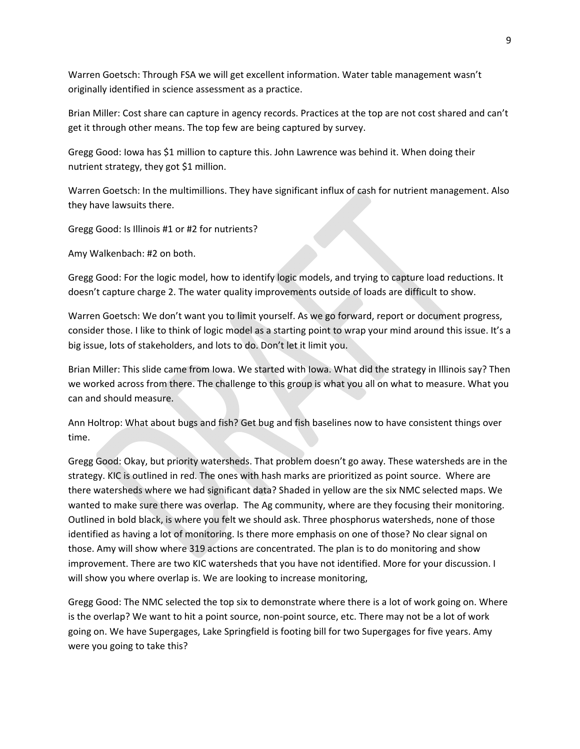Warren Goetsch: Through FSA we will get excellent information. Water table management wasn't originally identified in science assessment as a practice.

Brian Miller: Cost share can capture in agency records. Practices at the top are not cost shared and can't get it through other means. The top few are being captured by survey.

Gregg Good: Iowa has \$1 million to capture this. John Lawrence was behind it. When doing their nutrient strategy, they got \$1 million.

Warren Goetsch: In the multimillions. They have significant influx of cash for nutrient management. Also they have lawsuits there.

Gregg Good: Is Illinois #1 or #2 for nutrients?

Amy Walkenbach: #2 on both.

Gregg Good: For the logic model, how to identify logic models, and trying to capture load reductions. It doesn't capture charge 2. The water quality improvements outside of loads are difficult to show.

Warren Goetsch: We don't want you to limit yourself. As we go forward, report or document progress, consider those. I like to think of logic model as a starting point to wrap your mind around this issue. It's a big issue, lots of stakeholders, and lots to do. Don't let it limit you.

Brian Miller: This slide came from Iowa. We started with Iowa. What did the strategy in Illinois say? Then we worked across from there. The challenge to this group is what you all on what to measure. What you can and should measure.

Ann Holtrop: What about bugs and fish? Get bug and fish baselines now to have consistent things over time.

Gregg Good: Okay, but priority watersheds. That problem doesn't go away. These watersheds are in the strategy. KIC is outlined in red. The ones with hash marks are prioritized as point source. Where are there watersheds where we had significant data? Shaded in yellow are the six NMC selected maps. We wanted to make sure there was overlap. The Ag community, where are they focusing their monitoring. Outlined in bold black, is where you felt we should ask. Three phosphorus watersheds, none of those identified as having a lot of monitoring. Is there more emphasis on one of those? No clear signal on those. Amy will show where 319 actions are concentrated. The plan is to do monitoring and show improvement. There are two KIC watersheds that you have not identified. More for your discussion. I will show you where overlap is. We are looking to increase monitoring,

Gregg Good: The NMC selected the top six to demonstrate where there is a lot of work going on. Where is the overlap? We want to hit a point source, non‐point source, etc. There may not be a lot of work going on. We have Supergages, Lake Springfield is footing bill for two Supergages for five years. Amy were you going to take this?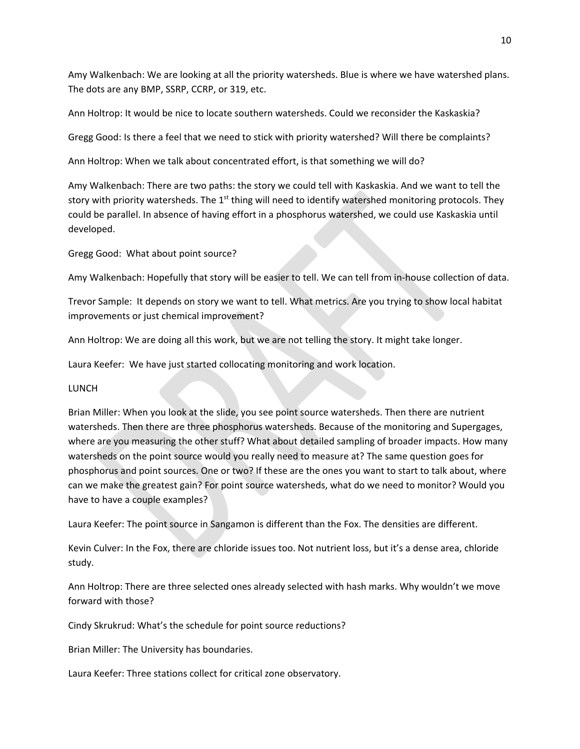Amy Walkenbach: We are looking at all the priority watersheds. Blue is where we have watershed plans. The dots are any BMP, SSRP, CCRP, or 319, etc.

Ann Holtrop: It would be nice to locate southern watersheds. Could we reconsider the Kaskaskia?

Gregg Good: Is there a feel that we need to stick with priority watershed? Will there be complaints?

Ann Holtrop: When we talk about concentrated effort, is that something we will do?

Amy Walkenbach: There are two paths: the story we could tell with Kaskaskia. And we want to tell the story with priority watersheds. The  $1<sup>st</sup>$  thing will need to identify watershed monitoring protocols. They could be parallel. In absence of having effort in a phosphorus watershed, we could use Kaskaskia until developed.

Gregg Good: What about point source?

Amy Walkenbach: Hopefully that story will be easier to tell. We can tell from in‐house collection of data.

Trevor Sample: It depends on story we want to tell. What metrics. Are you trying to show local habitat improvements or just chemical improvement?

Ann Holtrop: We are doing all this work, but we are not telling the story. It might take longer.

Laura Keefer: We have just started collocating monitoring and work location.

## LUNCH

Brian Miller: When you look at the slide, you see point source watersheds. Then there are nutrient watersheds. Then there are three phosphorus watersheds. Because of the monitoring and Supergages, where are you measuring the other stuff? What about detailed sampling of broader impacts. How many watersheds on the point source would you really need to measure at? The same question goes for phosphorus and point sources. One or two? If these are the ones you want to start to talk about, where can we make the greatest gain? For point source watersheds, what do we need to monitor? Would you have to have a couple examples?

Laura Keefer: The point source in Sangamon is different than the Fox. The densities are different.

Kevin Culver: In the Fox, there are chloride issues too. Not nutrient loss, but it's a dense area, chloride study.

Ann Holtrop: There are three selected ones already selected with hash marks. Why wouldn't we move forward with those?

Cindy Skrukrud: What's the schedule for point source reductions?

Brian Miller: The University has boundaries.

Laura Keefer: Three stations collect for critical zone observatory.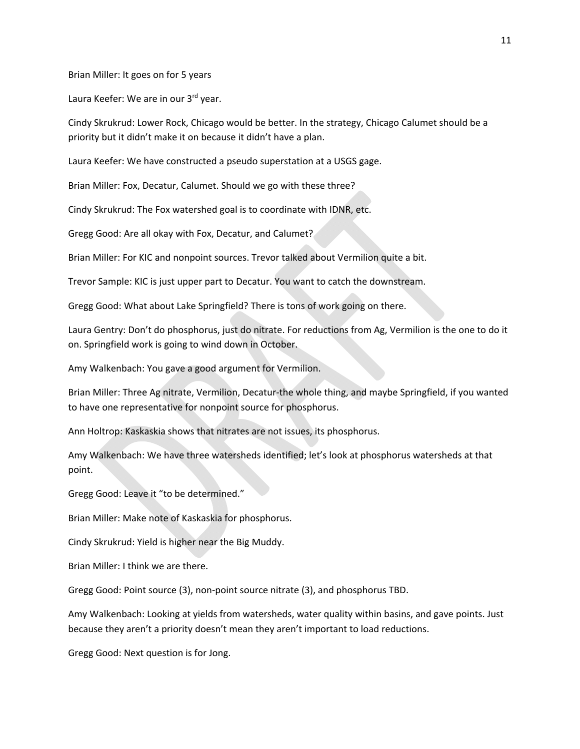Brian Miller: It goes on for 5 years

Laura Keefer: We are in our 3rd year.

Cindy Skrukrud: Lower Rock, Chicago would be better. In the strategy, Chicago Calumet should be a priority but it didn't make it on because it didn't have a plan.

Laura Keefer: We have constructed a pseudo superstation at a USGS gage.

Brian Miller: Fox, Decatur, Calumet. Should we go with these three?

Cindy Skrukrud: The Fox watershed goal is to coordinate with IDNR, etc.

Gregg Good: Are all okay with Fox, Decatur, and Calumet?

Brian Miller: For KIC and nonpoint sources. Trevor talked about Vermilion quite a bit.

Trevor Sample: KIC is just upper part to Decatur. You want to catch the downstream.

Gregg Good: What about Lake Springfield? There is tons of work going on there.

Laura Gentry: Don't do phosphorus, just do nitrate. For reductions from Ag, Vermilion is the one to do it on. Springfield work is going to wind down in October.

Amy Walkenbach: You gave a good argument for Vermilion.

Brian Miller: Three Ag nitrate, Vermilion, Decatur‐the whole thing, and maybe Springfield, if you wanted to have one representative for nonpoint source for phosphorus.

Ann Holtrop: Kaskaskia shows that nitrates are not issues, its phosphorus.

Amy Walkenbach: We have three watersheds identified; let's look at phosphorus watersheds at that point.

Gregg Good: Leave it "to be determined."

Brian Miller: Make note of Kaskaskia for phosphorus.

Cindy Skrukrud: Yield is higher near the Big Muddy.

Brian Miller: I think we are there.

Gregg Good: Point source (3), non‐point source nitrate (3), and phosphorus TBD.

Amy Walkenbach: Looking at yields from watersheds, water quality within basins, and gave points. Just because they aren't a priority doesn't mean they aren't important to load reductions.

Gregg Good: Next question is for Jong.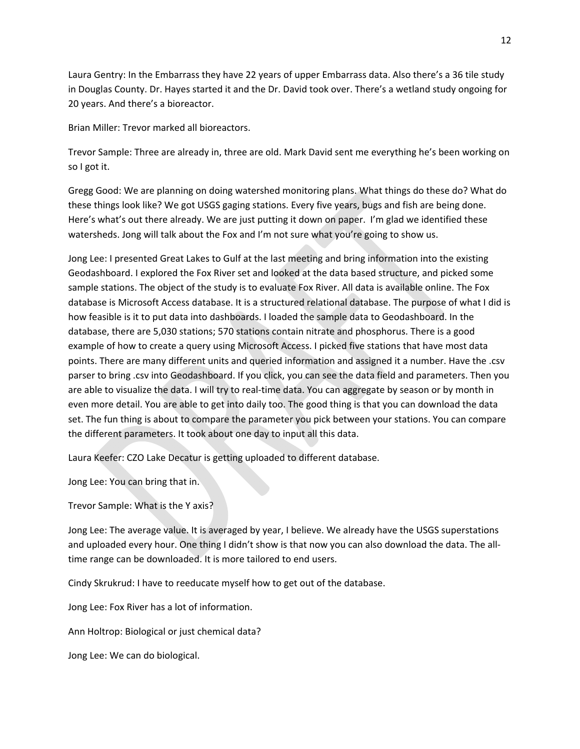Laura Gentry: In the Embarrass they have 22 years of upper Embarrass data. Also there's a 36 tile study in Douglas County. Dr. Hayes started it and the Dr. David took over. There's a wetland study ongoing for 20 years. And there's a bioreactor.

Brian Miller: Trevor marked all bioreactors.

Trevor Sample: Three are already in, three are old. Mark David sent me everything he's been working on so I got it.

Gregg Good: We are planning on doing watershed monitoring plans. What things do these do? What do these things look like? We got USGS gaging stations. Every five years, bugs and fish are being done. Here's what's out there already. We are just putting it down on paper. I'm glad we identified these watersheds. Jong will talk about the Fox and I'm not sure what you're going to show us.

Jong Lee: I presented Great Lakes to Gulf at the last meeting and bring information into the existing Geodashboard. I explored the Fox River set and looked at the data based structure, and picked some sample stations. The object of the study is to evaluate Fox River. All data is available online. The Fox database is Microsoft Access database. It is a structured relational database. The purpose of what I did is how feasible is it to put data into dashboards. I loaded the sample data to Geodashboard. In the database, there are 5,030 stations; 570 stations contain nitrate and phosphorus. There is a good example of how to create a query using Microsoft Access. I picked five stations that have most data points. There are many different units and queried information and assigned it a number. Have the .csv parser to bring .csv into Geodashboard. If you click, you can see the data field and parameters. Then you are able to visualize the data. I will try to real-time data. You can aggregate by season or by month in even more detail. You are able to get into daily too. The good thing is that you can download the data set. The fun thing is about to compare the parameter you pick between your stations. You can compare the different parameters. It took about one day to input all this data.

Laura Keefer: CZO Lake Decatur is getting uploaded to different database.

Jong Lee: You can bring that in.

Trevor Sample: What is the Y axis?

Jong Lee: The average value. It is averaged by year, I believe. We already have the USGS superstations and uploaded every hour. One thing I didn't show is that now you can also download the data. The alltime range can be downloaded. It is more tailored to end users.

Cindy Skrukrud: I have to reeducate myself how to get out of the database.

Jong Lee: Fox River has a lot of information.

Ann Holtrop: Biological or just chemical data?

Jong Lee: We can do biological.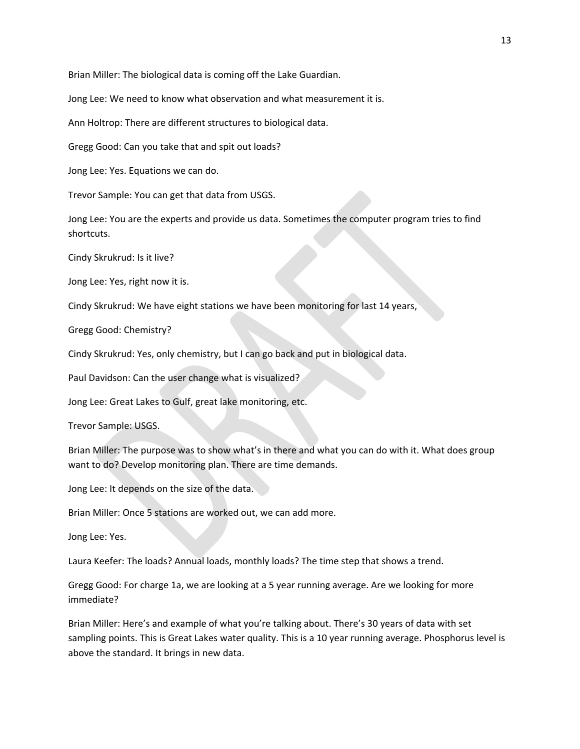Brian Miller: The biological data is coming off the Lake Guardian.

Jong Lee: We need to know what observation and what measurement it is.

Ann Holtrop: There are different structures to biological data.

Gregg Good: Can you take that and spit out loads?

Jong Lee: Yes. Equations we can do.

Trevor Sample: You can get that data from USGS.

Jong Lee: You are the experts and provide us data. Sometimes the computer program tries to find shortcuts.

Cindy Skrukrud: Is it live?

Jong Lee: Yes, right now it is.

Cindy Skrukrud: We have eight stations we have been monitoring for last 14 years,

Gregg Good: Chemistry?

Cindy Skrukrud: Yes, only chemistry, but I can go back and put in biological data.

Paul Davidson: Can the user change what is visualized?

Jong Lee: Great Lakes to Gulf, great lake monitoring, etc.

Trevor Sample: USGS.

Brian Miller: The purpose was to show what's in there and what you can do with it. What does group want to do? Develop monitoring plan. There are time demands.

Jong Lee: It depends on the size of the data.

Brian Miller: Once 5 stations are worked out, we can add more.

Jong Lee: Yes.

Laura Keefer: The loads? Annual loads, monthly loads? The time step that shows a trend.

Gregg Good: For charge 1a, we are looking at a 5 year running average. Are we looking for more immediate?

Brian Miller: Here's and example of what you're talking about. There's 30 years of data with set sampling points. This is Great Lakes water quality. This is a 10 year running average. Phosphorus level is above the standard. It brings in new data.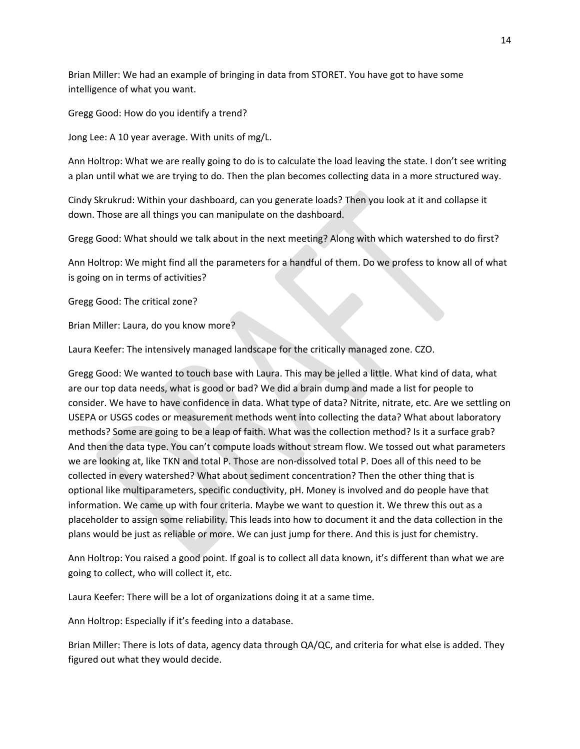Brian Miller: We had an example of bringing in data from STORET. You have got to have some intelligence of what you want.

Gregg Good: How do you identify a trend?

Jong Lee: A 10 year average. With units of mg/L.

Ann Holtrop: What we are really going to do is to calculate the load leaving the state. I don't see writing a plan until what we are trying to do. Then the plan becomes collecting data in a more structured way.

Cindy Skrukrud: Within your dashboard, can you generate loads? Then you look at it and collapse it down. Those are all things you can manipulate on the dashboard.

Gregg Good: What should we talk about in the next meeting? Along with which watershed to do first?

Ann Holtrop: We might find all the parameters for a handful of them. Do we profess to know all of what is going on in terms of activities?

Gregg Good: The critical zone?

Brian Miller: Laura, do you know more?

Laura Keefer: The intensively managed landscape for the critically managed zone. CZO.

Gregg Good: We wanted to touch base with Laura. This may be jelled a little. What kind of data, what are our top data needs, what is good or bad? We did a brain dump and made a list for people to consider. We have to have confidence in data. What type of data? Nitrite, nitrate, etc. Are we settling on USEPA or USGS codes or measurement methods went into collecting the data? What about laboratory methods? Some are going to be a leap of faith. What was the collection method? Is it a surface grab? And then the data type. You can't compute loads without stream flow. We tossed out what parameters we are looking at, like TKN and total P. Those are non-dissolved total P. Does all of this need to be collected in every watershed? What about sediment concentration? Then the other thing that is optional like multiparameters, specific conductivity, pH. Money is involved and do people have that information. We came up with four criteria. Maybe we want to question it. We threw this out as a placeholder to assign some reliability. This leads into how to document it and the data collection in the plans would be just as reliable or more. We can just jump for there. And this is just for chemistry.

Ann Holtrop: You raised a good point. If goal is to collect all data known, it's different than what we are going to collect, who will collect it, etc.

Laura Keefer: There will be a lot of organizations doing it at a same time.

Ann Holtrop: Especially if it's feeding into a database.

Brian Miller: There is lots of data, agency data through QA/QC, and criteria for what else is added. They figured out what they would decide.